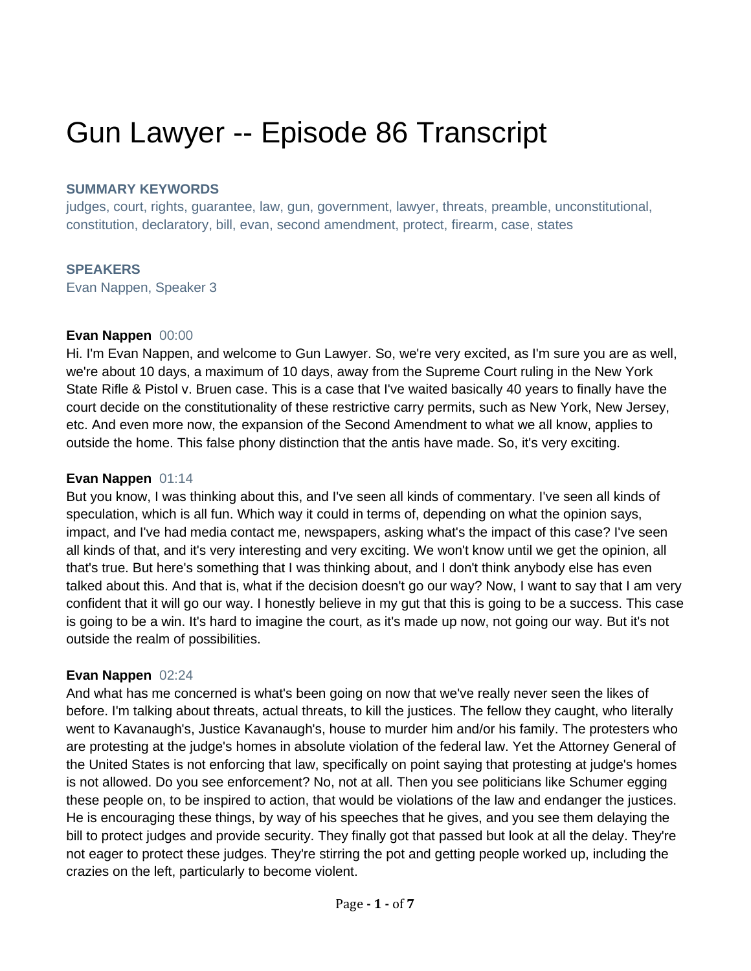# Gun Lawyer -- Episode 86 Transcript

#### **SUMMARY KEYWORDS**

judges, court, rights, guarantee, law, gun, government, lawyer, threats, preamble, unconstitutional, constitution, declaratory, bill, evan, second amendment, protect, firearm, case, states

## **SPEAKERS**

Evan Nappen, Speaker 3

#### **Evan Nappen** 00:00

Hi. I'm Evan Nappen, and welcome to Gun Lawyer. So, we're very excited, as I'm sure you are as well, we're about 10 days, a maximum of 10 days, away from the Supreme Court ruling in the New York State Rifle & Pistol v. Bruen case. This is a case that I've waited basically 40 years to finally have the court decide on the constitutionality of these restrictive carry permits, such as New York, New Jersey, etc. And even more now, the expansion of the Second Amendment to what we all know, applies to outside the home. This false phony distinction that the antis have made. So, it's very exciting.

#### **Evan Nappen** 01:14

But you know, I was thinking about this, and I've seen all kinds of commentary. I've seen all kinds of speculation, which is all fun. Which way it could in terms of, depending on what the opinion says, impact, and I've had media contact me, newspapers, asking what's the impact of this case? I've seen all kinds of that, and it's very interesting and very exciting. We won't know until we get the opinion, all that's true. But here's something that I was thinking about, and I don't think anybody else has even talked about this. And that is, what if the decision doesn't go our way? Now, I want to say that I am very confident that it will go our way. I honestly believe in my gut that this is going to be a success. This case is going to be a win. It's hard to imagine the court, as it's made up now, not going our way. But it's not outside the realm of possibilities.

#### **Evan Nappen** 02:24

And what has me concerned is what's been going on now that we've really never seen the likes of before. I'm talking about threats, actual threats, to kill the justices. The fellow they caught, who literally went to Kavanaugh's, Justice Kavanaugh's, house to murder him and/or his family. The protesters who are protesting at the judge's homes in absolute violation of the federal law. Yet the Attorney General of the United States is not enforcing that law, specifically on point saying that protesting at judge's homes is not allowed. Do you see enforcement? No, not at all. Then you see politicians like Schumer egging these people on, to be inspired to action, that would be violations of the law and endanger the justices. He is encouraging these things, by way of his speeches that he gives, and you see them delaying the bill to protect judges and provide security. They finally got that passed but look at all the delay. They're not eager to protect these judges. They're stirring the pot and getting people worked up, including the crazies on the left, particularly to become violent.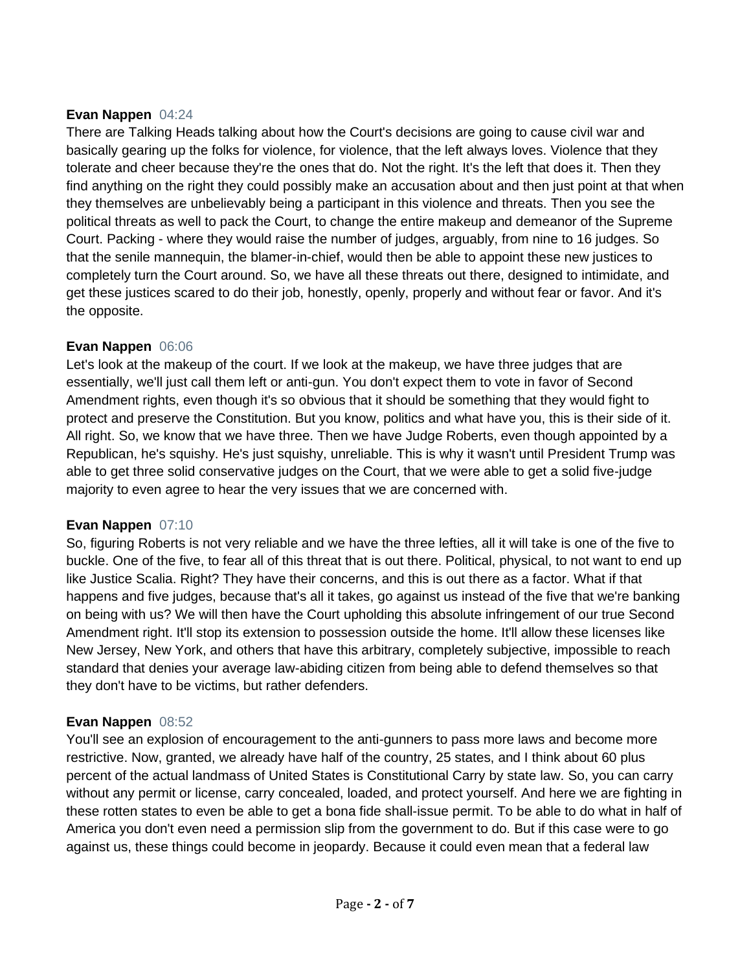## **Evan Nappen** 04:24

There are Talking Heads talking about how the Court's decisions are going to cause civil war and basically gearing up the folks for violence, for violence, that the left always loves. Violence that they tolerate and cheer because they're the ones that do. Not the right. It's the left that does it. Then they find anything on the right they could possibly make an accusation about and then just point at that when they themselves are unbelievably being a participant in this violence and threats. Then you see the political threats as well to pack the Court, to change the entire makeup and demeanor of the Supreme Court. Packing - where they would raise the number of judges, arguably, from nine to 16 judges. So that the senile mannequin, the blamer-in-chief, would then be able to appoint these new justices to completely turn the Court around. So, we have all these threats out there, designed to intimidate, and get these justices scared to do their job, honestly, openly, properly and without fear or favor. And it's the opposite.

## **Evan Nappen** 06:06

Let's look at the makeup of the court. If we look at the makeup, we have three judges that are essentially, we'll just call them left or anti-gun. You don't expect them to vote in favor of Second Amendment rights, even though it's so obvious that it should be something that they would fight to protect and preserve the Constitution. But you know, politics and what have you, this is their side of it. All right. So, we know that we have three. Then we have Judge Roberts, even though appointed by a Republican, he's squishy. He's just squishy, unreliable. This is why it wasn't until President Trump was able to get three solid conservative judges on the Court, that we were able to get a solid five-judge majority to even agree to hear the very issues that we are concerned with.

# **Evan Nappen** 07:10

So, figuring Roberts is not very reliable and we have the three lefties, all it will take is one of the five to buckle. One of the five, to fear all of this threat that is out there. Political, physical, to not want to end up like Justice Scalia. Right? They have their concerns, and this is out there as a factor. What if that happens and five judges, because that's all it takes, go against us instead of the five that we're banking on being with us? We will then have the Court upholding this absolute infringement of our true Second Amendment right. It'll stop its extension to possession outside the home. It'll allow these licenses like New Jersey, New York, and others that have this arbitrary, completely subjective, impossible to reach standard that denies your average law-abiding citizen from being able to defend themselves so that they don't have to be victims, but rather defenders.

# **Evan Nappen** 08:52

You'll see an explosion of encouragement to the anti-gunners to pass more laws and become more restrictive. Now, granted, we already have half of the country, 25 states, and I think about 60 plus percent of the actual landmass of United States is Constitutional Carry by state law. So, you can carry without any permit or license, carry concealed, loaded, and protect yourself. And here we are fighting in these rotten states to even be able to get a bona fide shall-issue permit. To be able to do what in half of America you don't even need a permission slip from the government to do. But if this case were to go against us, these things could become in jeopardy. Because it could even mean that a federal law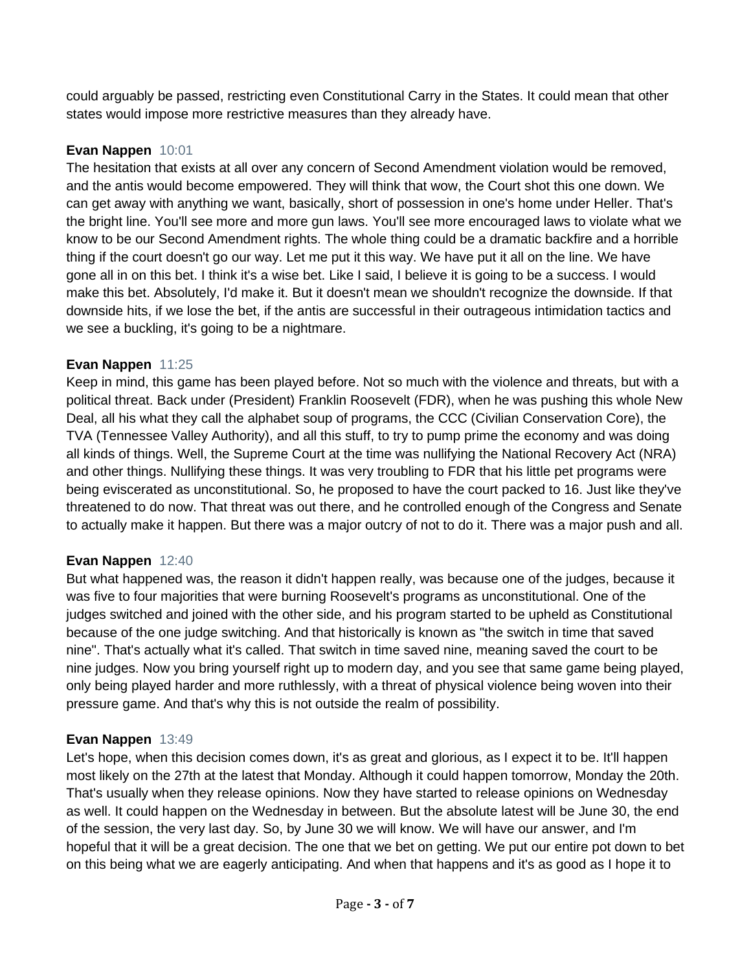could arguably be passed, restricting even Constitutional Carry in the States. It could mean that other states would impose more restrictive measures than they already have.

## **Evan Nappen** 10:01

The hesitation that exists at all over any concern of Second Amendment violation would be removed, and the antis would become empowered. They will think that wow, the Court shot this one down. We can get away with anything we want, basically, short of possession in one's home under Heller. That's the bright line. You'll see more and more gun laws. You'll see more encouraged laws to violate what we know to be our Second Amendment rights. The whole thing could be a dramatic backfire and a horrible thing if the court doesn't go our way. Let me put it this way. We have put it all on the line. We have gone all in on this bet. I think it's a wise bet. Like I said, I believe it is going to be a success. I would make this bet. Absolutely, I'd make it. But it doesn't mean we shouldn't recognize the downside. If that downside hits, if we lose the bet, if the antis are successful in their outrageous intimidation tactics and we see a buckling, it's going to be a nightmare.

#### **Evan Nappen** 11:25

Keep in mind, this game has been played before. Not so much with the violence and threats, but with a political threat. Back under (President) Franklin Roosevelt (FDR), when he was pushing this whole New Deal, all his what they call the alphabet soup of programs, the CCC (Civilian Conservation Core), the TVA (Tennessee Valley Authority), and all this stuff, to try to pump prime the economy and was doing all kinds of things. Well, the Supreme Court at the time was nullifying the National Recovery Act (NRA) and other things. Nullifying these things. It was very troubling to FDR that his little pet programs were being eviscerated as unconstitutional. So, he proposed to have the court packed to 16. Just like they've threatened to do now. That threat was out there, and he controlled enough of the Congress and Senate to actually make it happen. But there was a major outcry of not to do it. There was a major push and all.

#### **Evan Nappen** 12:40

But what happened was, the reason it didn't happen really, was because one of the judges, because it was five to four majorities that were burning Roosevelt's programs as unconstitutional. One of the judges switched and joined with the other side, and his program started to be upheld as Constitutional because of the one judge switching. And that historically is known as "the switch in time that saved nine". That's actually what it's called. That switch in time saved nine, meaning saved the court to be nine judges. Now you bring yourself right up to modern day, and you see that same game being played, only being played harder and more ruthlessly, with a threat of physical violence being woven into their pressure game. And that's why this is not outside the realm of possibility.

#### **Evan Nappen** 13:49

Let's hope, when this decision comes down, it's as great and glorious, as I expect it to be. It'll happen most likely on the 27th at the latest that Monday. Although it could happen tomorrow, Monday the 20th. That's usually when they release opinions. Now they have started to release opinions on Wednesday as well. It could happen on the Wednesday in between. But the absolute latest will be June 30, the end of the session, the very last day. So, by June 30 we will know. We will have our answer, and I'm hopeful that it will be a great decision. The one that we bet on getting. We put our entire pot down to bet on this being what we are eagerly anticipating. And when that happens and it's as good as I hope it to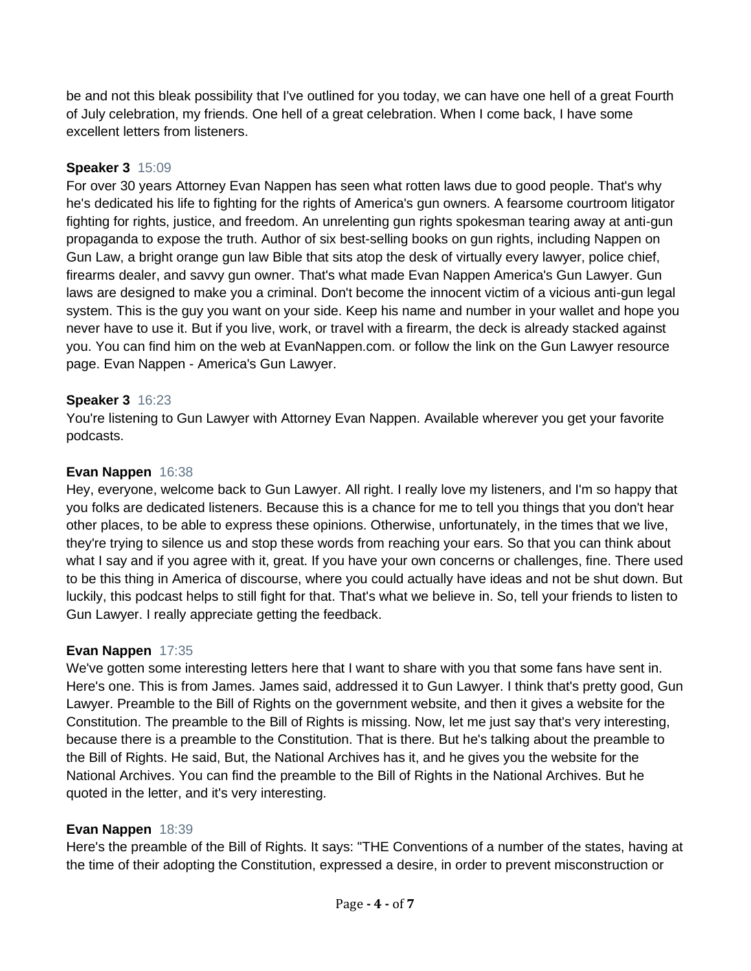be and not this bleak possibility that I've outlined for you today, we can have one hell of a great Fourth of July celebration, my friends. One hell of a great celebration. When I come back, I have some excellent letters from listeners.

# **Speaker 3** 15:09

For over 30 years Attorney Evan Nappen has seen what rotten laws due to good people. That's why he's dedicated his life to fighting for the rights of America's gun owners. A fearsome courtroom litigator fighting for rights, justice, and freedom. An unrelenting gun rights spokesman tearing away at anti-gun propaganda to expose the truth. Author of six best-selling books on gun rights, including Nappen on Gun Law, a bright orange gun law Bible that sits atop the desk of virtually every lawyer, police chief, firearms dealer, and savvy gun owner. That's what made Evan Nappen America's Gun Lawyer. Gun laws are designed to make you a criminal. Don't become the innocent victim of a vicious anti-gun legal system. This is the guy you want on your side. Keep his name and number in your wallet and hope you never have to use it. But if you live, work, or travel with a firearm, the deck is already stacked against you. You can find him on the web at EvanNappen.com. or follow the link on the Gun Lawyer resource page. Evan Nappen - America's Gun Lawyer.

## **Speaker 3** 16:23

You're listening to Gun Lawyer with Attorney Evan Nappen. Available wherever you get your favorite podcasts.

## **Evan Nappen** 16:38

Hey, everyone, welcome back to Gun Lawyer. All right. I really love my listeners, and I'm so happy that you folks are dedicated listeners. Because this is a chance for me to tell you things that you don't hear other places, to be able to express these opinions. Otherwise, unfortunately, in the times that we live, they're trying to silence us and stop these words from reaching your ears. So that you can think about what I say and if you agree with it, great. If you have your own concerns or challenges, fine. There used to be this thing in America of discourse, where you could actually have ideas and not be shut down. But luckily, this podcast helps to still fight for that. That's what we believe in. So, tell your friends to listen to Gun Lawyer. I really appreciate getting the feedback.

#### **Evan Nappen** 17:35

We've gotten some interesting letters here that I want to share with you that some fans have sent in. Here's one. This is from James. James said, addressed it to Gun Lawyer. I think that's pretty good, Gun Lawyer. Preamble to the Bill of Rights on the government website, and then it gives a website for the Constitution. The preamble to the Bill of Rights is missing. Now, let me just say that's very interesting, because there is a preamble to the Constitution. That is there. But he's talking about the preamble to the Bill of Rights. He said, But, the National Archives has it, and he gives you the website for the National Archives. You can find the preamble to the Bill of Rights in the National Archives. But he quoted in the letter, and it's very interesting.

#### **Evan Nappen** 18:39

Here's the preamble of the Bill of Rights. It says: "THE Conventions of a number of the states, having at the time of their adopting the Constitution, expressed a desire, in order to prevent misconstruction or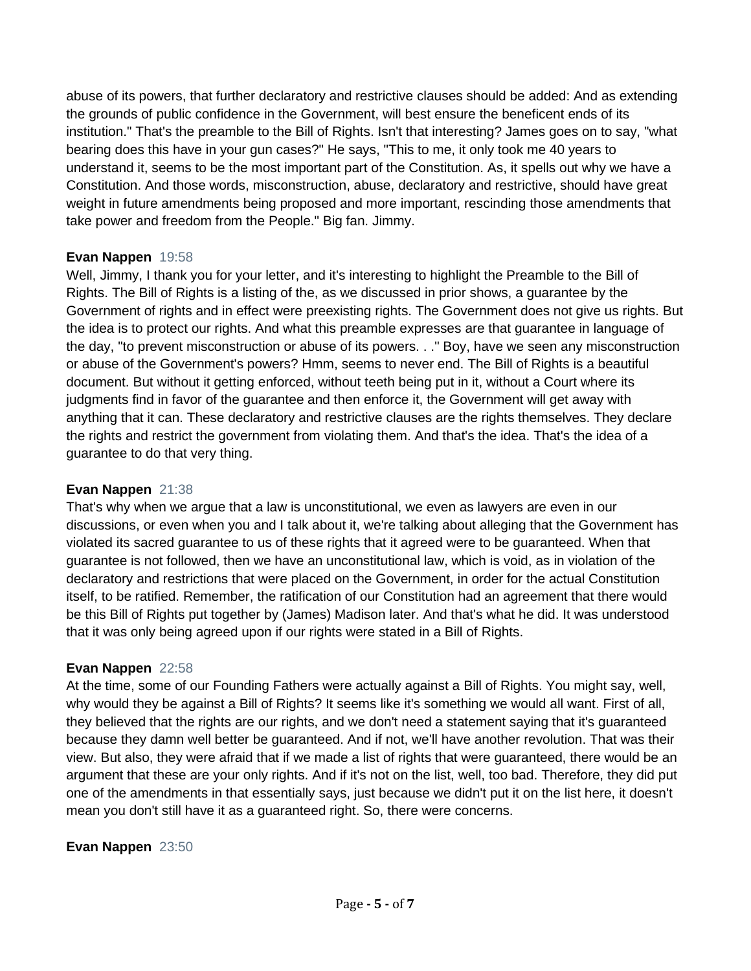abuse of its powers, that further declaratory and restrictive clauses should be added: And as extending the grounds of public confidence in the Government, will best ensure the beneficent ends of its institution." That's the preamble to the Bill of Rights. Isn't that interesting? James goes on to say, "what bearing does this have in your gun cases?" He says, "This to me, it only took me 40 years to understand it, seems to be the most important part of the Constitution. As, it spells out why we have a Constitution. And those words, misconstruction, abuse, declaratory and restrictive, should have great weight in future amendments being proposed and more important, rescinding those amendments that take power and freedom from the People." Big fan. Jimmy.

## **Evan Nappen** 19:58

Well, Jimmy, I thank you for your letter, and it's interesting to highlight the Preamble to the Bill of Rights. The Bill of Rights is a listing of the, as we discussed in prior shows, a guarantee by the Government of rights and in effect were preexisting rights. The Government does not give us rights. But the idea is to protect our rights. And what this preamble expresses are that guarantee in language of the day, "to prevent misconstruction or abuse of its powers. . ." Boy, have we seen any misconstruction or abuse of the Government's powers? Hmm, seems to never end. The Bill of Rights is a beautiful document. But without it getting enforced, without teeth being put in it, without a Court where its judgments find in favor of the guarantee and then enforce it, the Government will get away with anything that it can. These declaratory and restrictive clauses are the rights themselves. They declare the rights and restrict the government from violating them. And that's the idea. That's the idea of a guarantee to do that very thing.

## **Evan Nappen** 21:38

That's why when we argue that a law is unconstitutional, we even as lawyers are even in our discussions, or even when you and I talk about it, we're talking about alleging that the Government has violated its sacred guarantee to us of these rights that it agreed were to be guaranteed. When that guarantee is not followed, then we have an unconstitutional law, which is void, as in violation of the declaratory and restrictions that were placed on the Government, in order for the actual Constitution itself, to be ratified. Remember, the ratification of our Constitution had an agreement that there would be this Bill of Rights put together by (James) Madison later. And that's what he did. It was understood that it was only being agreed upon if our rights were stated in a Bill of Rights.

#### **Evan Nappen** 22:58

At the time, some of our Founding Fathers were actually against a Bill of Rights. You might say, well, why would they be against a Bill of Rights? It seems like it's something we would all want. First of all, they believed that the rights are our rights, and we don't need a statement saying that it's guaranteed because they damn well better be guaranteed. And if not, we'll have another revolution. That was their view. But also, they were afraid that if we made a list of rights that were guaranteed, there would be an argument that these are your only rights. And if it's not on the list, well, too bad. Therefore, they did put one of the amendments in that essentially says, just because we didn't put it on the list here, it doesn't mean you don't still have it as a guaranteed right. So, there were concerns.

# **Evan Nappen** 23:50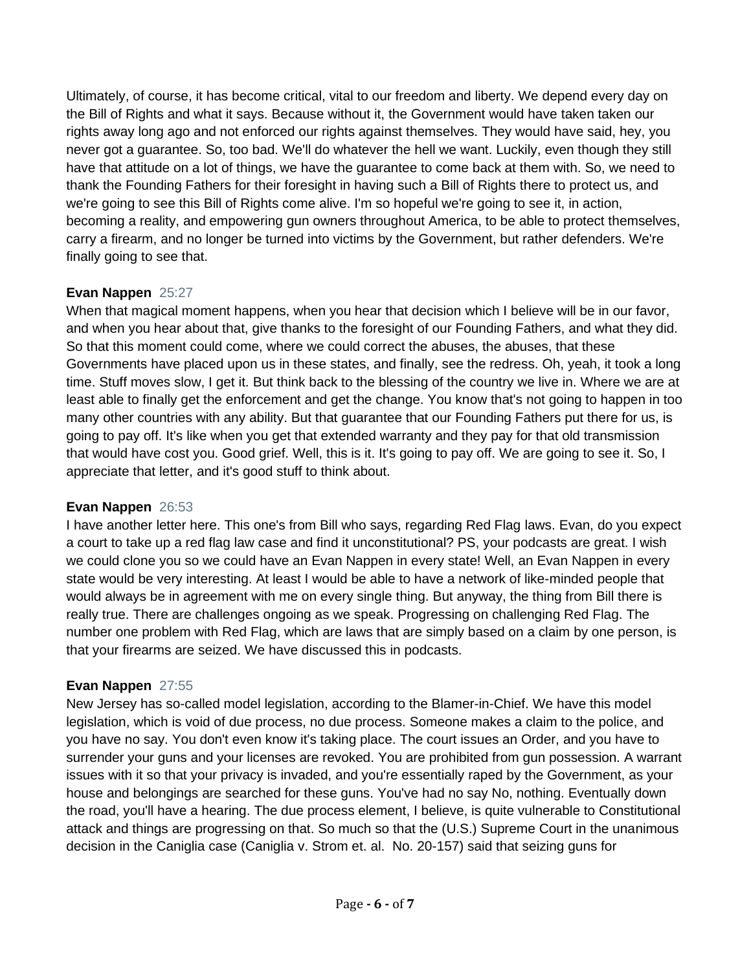Ultimately, of course, it has become critical, vital to our freedom and liberty. We depend every day on the Bill of Rights and what it says. Because without it, the Government would have taken taken our rights away long ago and not enforced our rights against themselves. They would have said, hey, you never got a guarantee. So, too bad. We'll do whatever the hell we want. Luckily, even though they still have that attitude on a lot of things, we have the guarantee to come back at them with. So, we need to thank the Founding Fathers for their foresight in having such a Bill of Rights there to protect us, and we're going to see this Bill of Rights come alive. I'm so hopeful we're going to see it, in action, becoming a reality, and empowering gun owners throughout America, to be able to protect themselves, carry a firearm, and no longer be turned into victims by the Government, but rather defenders. We're finally going to see that.

# **Evan Nappen** 25:27

When that magical moment happens, when you hear that decision which I believe will be in our favor, and when you hear about that, give thanks to the foresight of our Founding Fathers, and what they did. So that this moment could come, where we could correct the abuses, the abuses, that these Governments have placed upon us in these states, and finally, see the redress. Oh, yeah, it took a long time. Stuff moves slow, I get it. But think back to the blessing of the country we live in. Where we are at least able to finally get the enforcement and get the change. You know that's not going to happen in too many other countries with any ability. But that guarantee that our Founding Fathers put there for us, is going to pay off. It's like when you get that extended warranty and they pay for that old transmission that would have cost you. Good grief. Well, this is it. It's going to pay off. We are going to see it. So, I appreciate that letter, and it's good stuff to think about.

# **Evan Nappen** 26:53

I have another letter here. This one's from Bill who says, regarding Red Flag laws. Evan, do you expect a court to take up a red flag law case and find it unconstitutional? PS, your podcasts are great. I wish we could clone you so we could have an Evan Nappen in every state! Well, an Evan Nappen in every state would be very interesting. At least I would be able to have a network of like-minded people that would always be in agreement with me on every single thing. But anyway, the thing from Bill there is really true. There are challenges ongoing as we speak. Progressing on challenging Red Flag. The number one problem with Red Flag, which are laws that are simply based on a claim by one person, is that your firearms are seized. We have discussed this in podcasts.

# **Evan Nappen** 27:55

New Jersey has so-called model legislation, according to the Blamer-in-Chief. We have this model legislation, which is void of due process, no due process. Someone makes a claim to the police, and you have no say. You don't even know it's taking place. The court issues an Order, and you have to surrender your guns and your licenses are revoked. You are prohibited from gun possession. A warrant issues with it so that your privacy is invaded, and you're essentially raped by the Government, as your house and belongings are searched for these guns. You've had no say No, nothing. Eventually down the road, you'll have a hearing. The due process element, I believe, is quite vulnerable to Constitutional attack and things are progressing on that. So much so that the (U.S.) Supreme Court in the unanimous decision in the Caniglia case (Caniglia v. Strom et. al. No. 20-157) said that seizing guns for